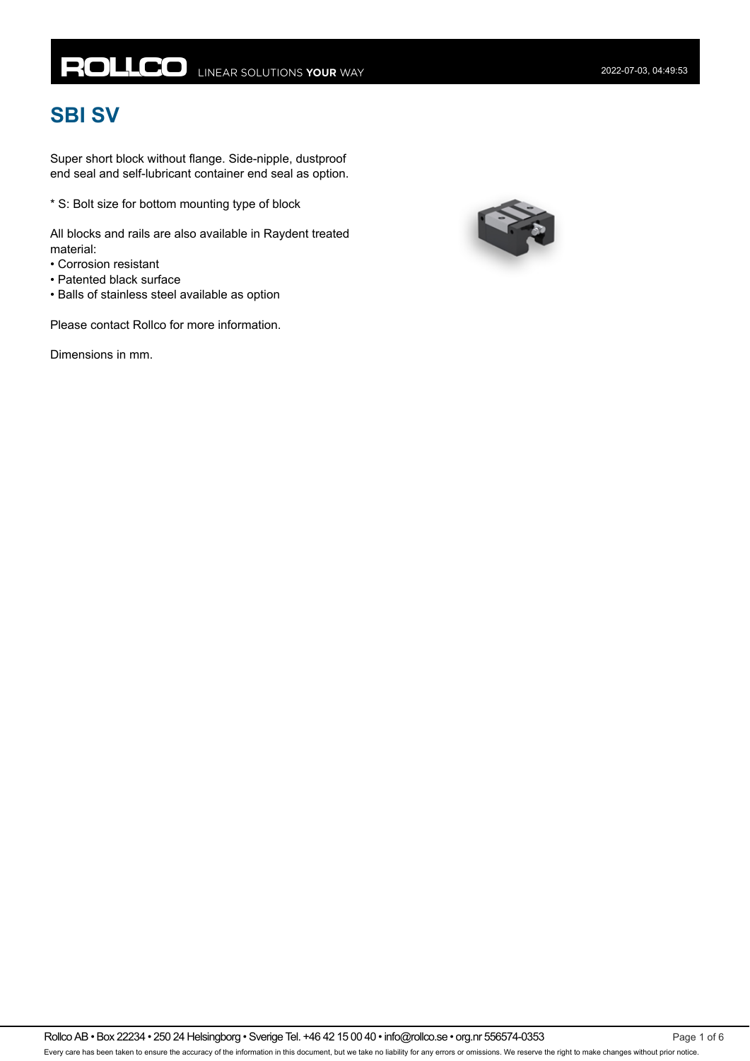# **ROLLCO** LINEAR SOLUTIONS YOUR WAY

# **SBI SV**

Super short block without flange. Side-nipple, dustproof end seal and self-lubricant container end seal as option.

\* S: Bolt size for bottom mounting type of block

All blocks and rails are also available in Raydent treated material:

- Corrosion resistant
- Patented black surface
- Balls of stainless steel available as option

Please contact Rollco for more information.

Dimensions in mm.

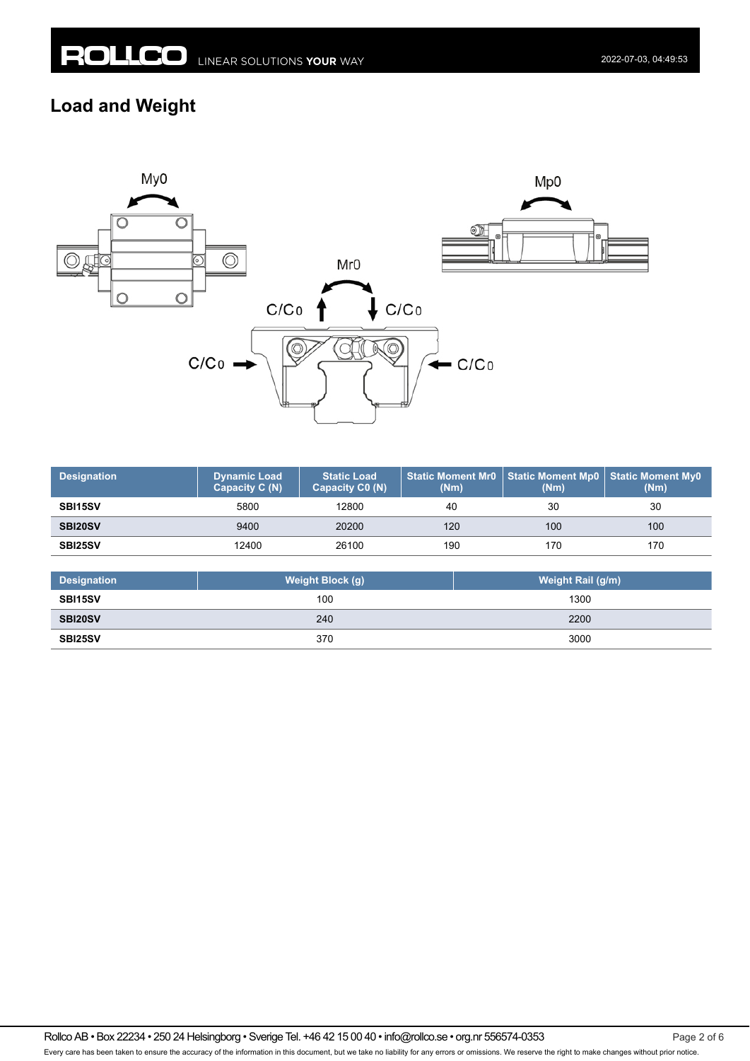#### **Load and Weight**



| <b>Designation</b> | <b>Dynamic Load</b><br>Capacity C (N) | <b>Static Load</b><br>Capacity C0 (N) | (Nm) | Static Moment Mr0   Static Moment Mp0   Static Moment My0<br>(Nm) | (Nm) |
|--------------------|---------------------------------------|---------------------------------------|------|-------------------------------------------------------------------|------|
| SBI15SV            | 5800                                  | 12800                                 | 40   | 30                                                                | 30   |
| SBI20SV            | 9400                                  | 20200                                 | 120  | 100                                                               | 100  |
| SBI25SV            | 12400                                 | 26100                                 | 190  | 170                                                               | 170  |

| <b>Designation</b> | Weight Block (g) | Weight Rail (g/m) |
|--------------------|------------------|-------------------|
| <b>SBI15SV</b>     | 100              | 1300              |
| SBI20SV            | 240              | 2200              |
| SBI25SV            | 370              | 3000              |

Rollco AB • Box 22234 • 250 24 Helsingborg • Sverige Tel. +46 42 15 00 40 • info@rollco.se • org.nr 556574-0353 Page 2 of 6 Every care has been taken to ensure the accuracy of the information in this document, but we take no liability for any errors or omissions. We reserve the right to make changes without prior notice.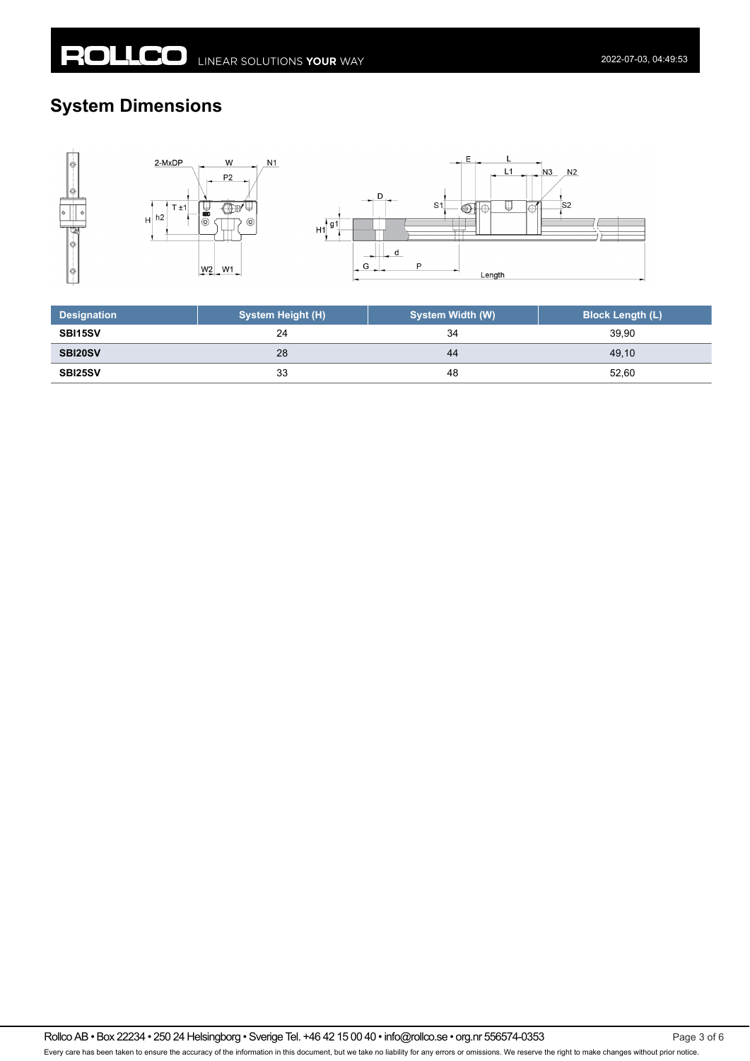## **System Dimensions**



| <b>Designation</b> | <b>System Height (H)</b> | <b>System Width (W)</b> | <b>Block Length (L)</b> |
|--------------------|--------------------------|-------------------------|-------------------------|
| <b>SBI15SV</b>     | 24                       | 34                      | 39.90                   |
| <b>SBI20SV</b>     | 28                       | 44                      | 49.10                   |
| SBI25SV            | 33                       | 48                      | 52,60                   |

Rollco AB • Box 22234 • 250 24 Helsingborg • Sverige Tel. +46 42 15 00 40 • info@rollco.se • org.nr 556574-0353 Every care has been taken to ensure the accuracy of the information in this document, but we take no liability for any errors or omissions. We reserve the right to make changes without prior notice.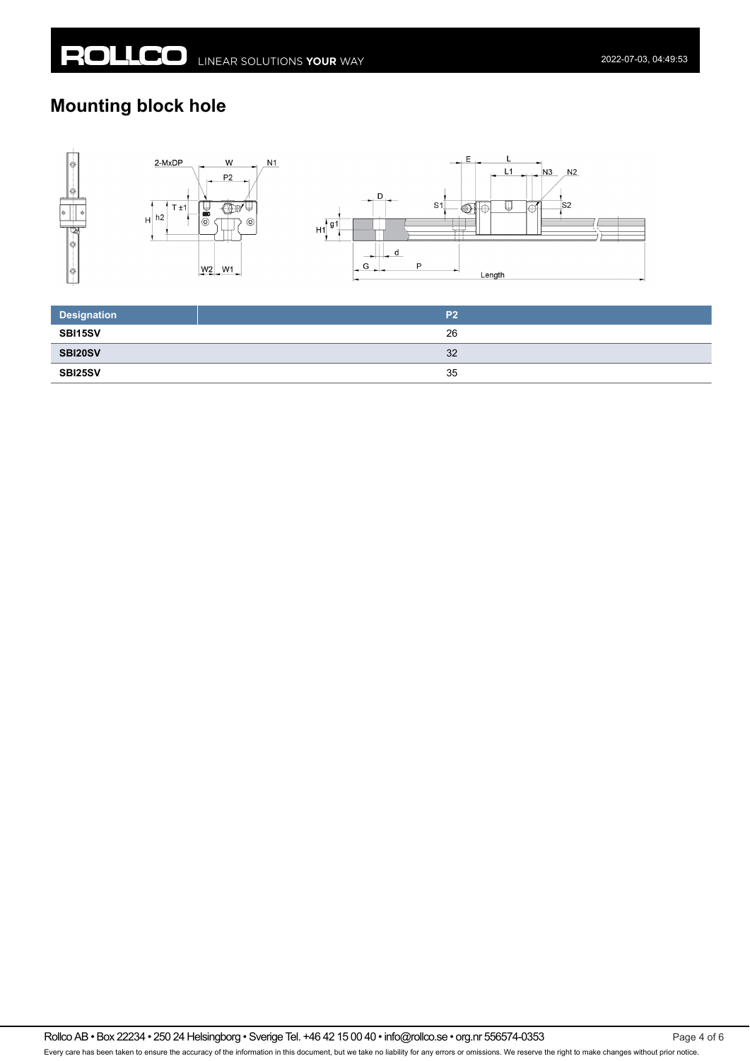## **Mounting block hole**



| <b>Designation</b> | P <sub>2</sub> |
|--------------------|----------------|
| SBI15SV            | 26             |
| SBI20SV            | 32             |
| SBI25SV            | 35             |

Rollco AB • Box 22234 • 250 24 Helsingborg • Sverige Tel. +46 42 15 00 40 • info@rollco.se • org.nr 556574-0353 Every care has been taken to ensure the accuracy of the information in this document, but we take no liability for any errors or omissions. We reserve the right to make changes without prior notice.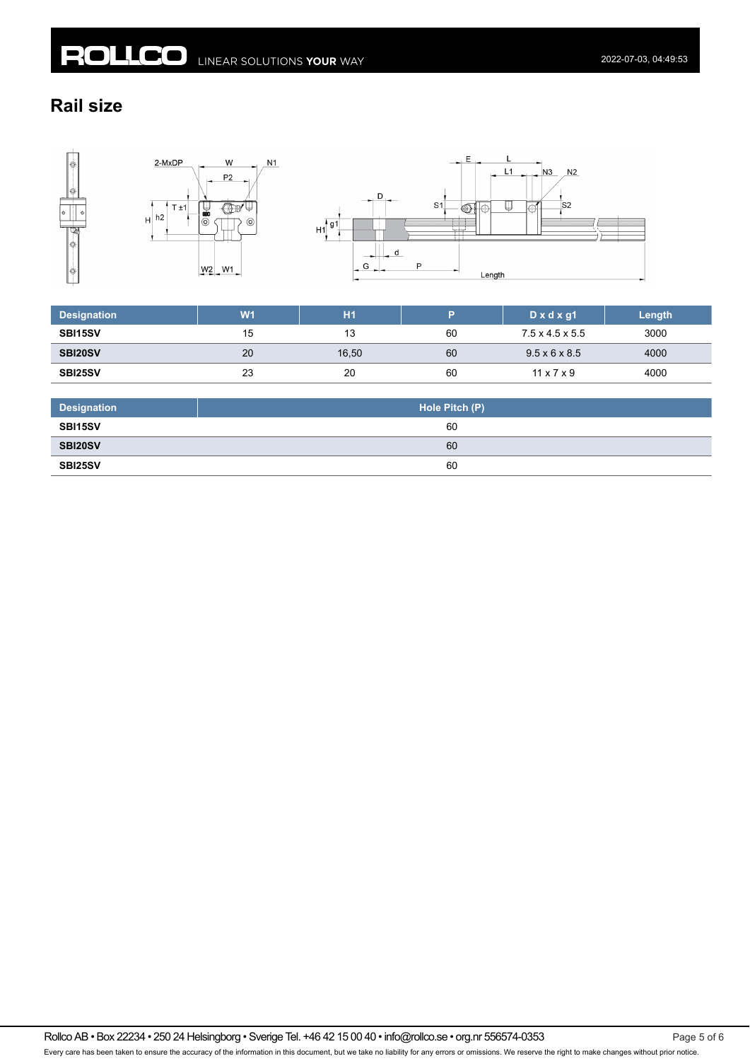## **Rail size**



| <b>Designation</b> | W <sub>1</sub> | <b>H1</b> |    | $D \times d \times g1$      | Length |
|--------------------|----------------|-----------|----|-----------------------------|--------|
| SBI15SV            | 15             | 13        | 60 | $7.5 \times 4.5 \times 5.5$ | 3000   |
| SBI20SV            | 20             | 16,50     | 60 | $9.5 \times 6 \times 8.5$   | 4000   |
| SBI25SV            | 23             | 20        | 60 | $11 \times 7 \times 9$      | 4000   |

| <b>Designation</b> | Hole Pitch (P) |
|--------------------|----------------|
| SBI15SV            | 60             |
| SBI20SV            | 60             |
| <b>SBI25SV</b>     | 60             |

Rollco AB • Box 22234 • 250 24 Helsingborg • Sverige Tel. +46 42 15 00 40 • info@rollco.se • org.nr 556574-0353 Page 5 of 6 Every care has been taken to ensure the accuracy of the information in this document, but we take no liability for any errors or omissions. We reserve the right to make changes without prior notice.